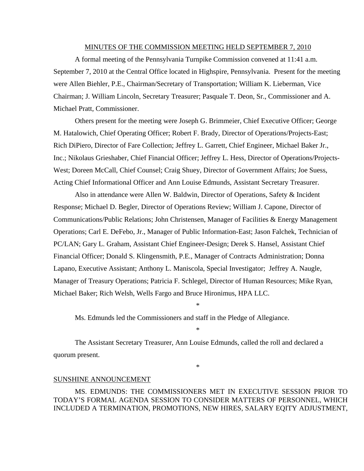#### MINUTES OF THE COMMISSION MEETING HELD SEPTEMBER 7, 2010

 A formal meeting of the Pennsylvania Turnpike Commission convened at 11:41 a.m. September 7, 2010 at the Central Office located in Highspire, Pennsylvania. Present for the meeting were Allen Biehler, P.E., Chairman/Secretary of Transportation; William K. Lieberman, Vice Chairman; J. William Lincoln, Secretary Treasurer; Pasquale T. Deon, Sr., Commissioner and A. Michael Pratt, Commissioner.

 Others present for the meeting were Joseph G. Brimmeier, Chief Executive Officer; George M. Hatalowich, Chief Operating Officer; Robert F. Brady, Director of Operations/Projects-East; Rich DiPiero, Director of Fare Collection; Jeffrey L. Garrett, Chief Engineer, Michael Baker Jr., Inc.; Nikolaus Grieshaber, Chief Financial Officer; Jeffrey L. Hess, Director of Operations/Projects-West; Doreen McCall, Chief Counsel; Craig Shuey, Director of Government Affairs; Joe Suess, Acting Chief Informational Officer and Ann Louise Edmunds, Assistant Secretary Treasurer.

 Also in attendance were Allen W. Baldwin, Director of Operations, Safety & Incident Response; Michael D. Begler, Director of Operations Review; William J. Capone, Director of Communications/Public Relations; John Christensen, Manager of Facilities & Energy Management Operations; Carl E. DeFebo, Jr., Manager of Public Information-East; Jason Falchek, Technician of PC/LAN; Gary L. Graham, Assistant Chief Engineer-Design; Derek S. Hansel, Assistant Chief Financial Officer; Donald S. Klingensmith, P.E., Manager of Contracts Administration; Donna Lapano, Executive Assistant; Anthony L. Maniscola, Special Investigator; Jeffrey A. Naugle, Manager of Treasury Operations; Patricia F. Schlegel, Director of Human Resources; Mike Ryan, Michael Baker; Rich Welsh, Wells Fargo and Bruce Hironimus, HPA LLC.

Ms. Edmunds led the Commissioners and staff in the Pledge of Allegiance.

 The Assistant Secretary Treasurer, Ann Louise Edmunds, called the roll and declared a quorum present.

\*

\*

\*

#### SUNSHINE ANNOUNCEMENT

MS. EDMUNDS: THE COMMISSIONERS MET IN EXECUTIVE SESSION PRIOR TO TODAY'S FORMAL AGENDA SESSION TO CONSIDER MATTERS OF PERSONNEL, WHICH INCLUDED A TERMINATION, PROMOTIONS, NEW HIRES, SALARY EQITY ADJUSTMENT,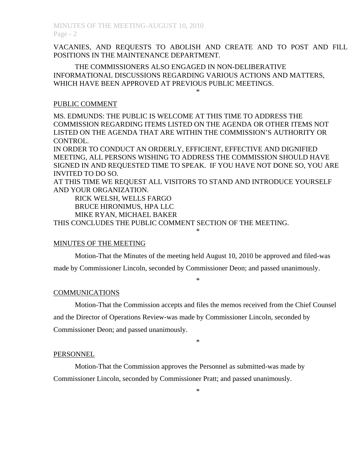VACANIES, AND REQUESTS TO ABOLISH AND CREATE AND TO POST AND FILL POSITIONS IN THE MAINTENANCE DEPARTMENT.

\*

THE COMMISSIONERS ALSO ENGAGED IN NON-DELIBERATIVE INFORMATIONAL DISCUSSIONS REGARDING VARIOUS ACTIONS AND MATTERS, WHICH HAVE BEEN APPROVED AT PREVIOUS PUBLIC MEETINGS.

## PUBLIC COMMENT

MS. EDMUNDS: THE PUBLIC IS WELCOME AT THIS TIME TO ADDRESS THE COMMISSION REGARDING ITEMS LISTED ON THE AGENDA OR OTHER ITEMS NOT LISTED ON THE AGENDA THAT ARE WITHIN THE COMMISSION'S AUTHORITY OR CONTROL.

IN ORDER TO CONDUCT AN ORDERLY, EFFICIENT, EFFECTIVE AND DIGNIFIED MEETING, ALL PERSONS WISHING TO ADDRESS THE COMMISSION SHOULD HAVE SIGNED IN AND REQUESTED TIME TO SPEAK. IF YOU HAVE NOT DONE SO, YOU ARE INVITED TO DO SO.

AT THIS TIME WE REQUEST ALL VISITORS TO STAND AND INTRODUCE YOURSELF AND YOUR ORGANIZATION.

 RICK WELSH, WELLS FARGO BRUCE HIRONIMUS, HPA LLC MIKE RYAN, MICHAEL BAKER

THIS CONCLUDES THE PUBLIC COMMENT SECTION OF THE MEETING.

### MINUTES OF THE MEETING

 Motion-That the Minutes of the meeting held August 10, 2010 be approved and filed-was made by Commissioner Lincoln, seconded by Commissioner Deon; and passed unanimously.

\*

\*

## COMMUNICATIONS

 Motion-That the Commission accepts and files the memos received from the Chief Counsel and the Director of Operations Review-was made by Commissioner Lincoln, seconded by Commissioner Deon; and passed unanimously.

\*

### PERSONNEL

 Motion-That the Commission approves the Personnel as submitted-was made by Commissioner Lincoln, seconded by Commissioner Pratt; and passed unanimously.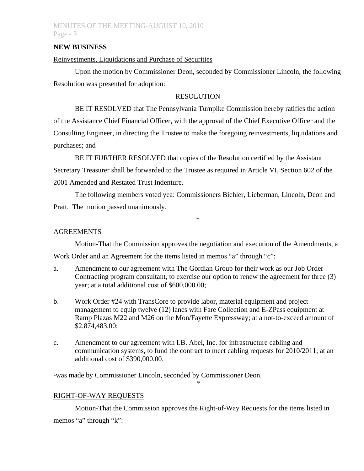# MINUTES OF THE MEETING-AUGUST 10, 2010 Page - 3

## **NEW BUSINESS**

### Reinvestments, Liquidations and Purchase of Securities

 Upon the motion by Commissioner Deon, seconded by Commissioner Lincoln, the following Resolution was presented for adoption:

### RESOLUTION

 BE IT RESOLVED that The Pennsylvania Turnpike Commission hereby ratifies the action of the Assistance Chief Financial Officer, with the approval of the Chief Executive Officer and the Consulting Engineer, in directing the Trustee to make the foregoing reinvestments, liquidations and purchases; and

 BE IT FURTHER RESOLVED that copies of the Resolution certified by the Assistant Secretary Treasurer shall be forwarded to the Trustee as required in Article VI, Section 602 of the 2001 Amended and Restated Trust Indenture.

 The following members voted yea: Commissioners Biehler, Lieberman, Lincoln, Deon and Pratt. The motion passed unanimously.

\*

### AGREEMENTS

Motion-That the Commission approves the negotiation and execution of the Amendments, a

Work Order and an Agreement for the items listed in memos "a" through "c":

- a. Amendment to our agreement with The Gordian Group for their work as our Job Order Contracting program consultant, to exercise our option to renew the agreement for three (3) year; at a total additional cost of \$600,000.00;
- b. Work Order #24 with TransCore to provide labor, material equipment and project management to equip twelve (12) lanes with Fare Collection and E-ZPass equipment at Ramp Plazas M22 and M26 on the Mon/Fayette Expressway; at a not-to-exceed amount of \$2,874,483.00;
- c. Amendment to our agreement with I.B. Abel, Inc. for infrastructure cabling and communication systems, to fund the contract to meet cabling requests for 2010/2011; at an additional cost of \$390,000.00.

\*

-was made by Commissioner Lincoln, seconded by Commissioner Deon.

## RIGHT-OF-WAY REQUESTS

Motion-That the Commission approves the Right-of-Way Requests for the items listed in memos "a" through "k":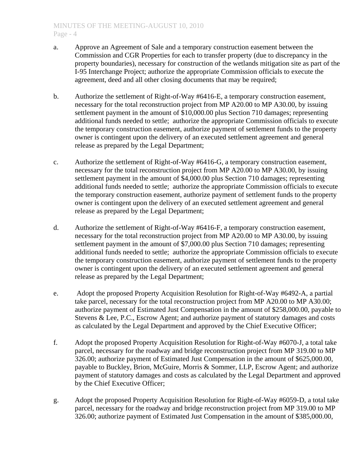- a. Approve an Agreement of Sale and a temporary construction easement between the Commission and CGR Properties for each to transfer property (due to discrepancy in the property boundaries), necessary for construction of the wetlands mitigation site as part of the I-95 Interchange Project; authorize the appropriate Commission officials to execute the agreement, deed and all other closing documents that may be required;
- b. Authorize the settlement of Right-of-Way #6416-E, a temporary construction easement, necessary for the total reconstruction project from MP A20.00 to MP A30.00, by issuing settlement payment in the amount of \$10,000.00 plus Section 710 damages; representing additional funds needed to settle; authorize the appropriate Commission officials to execute the temporary construction easement, authorize payment of settlement funds to the property owner is contingent upon the delivery of an executed settlement agreement and general release as prepared by the Legal Department;
- c. Authorize the settlement of Right-of-Way #6416-G, a temporary construction easement, necessary for the total reconstruction project from MP A20.00 to MP A30.00, by issuing settlement payment in the amount of \$4,000.00 plus Section 710 damages; representing additional funds needed to settle; authorize the appropriate Commission officials to execute the temporary construction easement, authorize payment of settlement funds to the property owner is contingent upon the delivery of an executed settlement agreement and general release as prepared by the Legal Department;
- d. Authorize the settlement of Right-of-Way #6416-F, a temporary construction easement, necessary for the total reconstruction project from MP A20.00 to MP A30.00, by issuing settlement payment in the amount of \$7,000.00 plus Section 710 damages; representing additional funds needed to settle; authorize the appropriate Commission officials to execute the temporary construction easement, authorize payment of settlement funds to the property owner is contingent upon the delivery of an executed settlement agreement and general release as prepared by the Legal Department;
- e. Adopt the proposed Property Acquisition Resolution for Right-of-Way #6492-A, a partial take parcel, necessary for the total reconstruction project from MP A20.00 to MP A30.00; authorize payment of Estimated Just Compensation in the amount of \$258,000.00, payable to Stevens & Lee, P.C., Escrow Agent; and authorize payment of statutory damages and costs as calculated by the Legal Department and approved by the Chief Executive Officer;
- f. Adopt the proposed Property Acquisition Resolution for Right-of-Way #6070-J, a total take parcel, necessary for the roadway and bridge reconstruction project from MP 319.00 to MP 326.00; authorize payment of Estimated Just Compensation in the amount of \$625,000.00, payable to Buckley, Brion, McGuire, Morris & Sommer, LLP, Escrow Agent; and authorize payment of statutory damages and costs as calculated by the Legal Department and approved by the Chief Executive Officer;
- g. Adopt the proposed Property Acquisition Resolution for Right-of-Way #6059-D, a total take parcel, necessary for the roadway and bridge reconstruction project from MP 319.00 to MP 326.00; authorize payment of Estimated Just Compensation in the amount of \$385,000.00,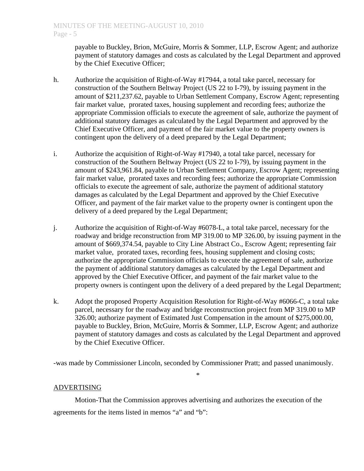payable to Buckley, Brion, McGuire, Morris & Sommer, LLP, Escrow Agent; and authorize payment of statutory damages and costs as calculated by the Legal Department and approved by the Chief Executive Officer;

- h. Authorize the acquisition of Right-of-Way #17944, a total take parcel, necessary for construction of the Southern Beltway Project (US 22 to I-79), by issuing payment in the amount of \$211,237.62, payable to Urban Settlement Company, Escrow Agent; representing fair market value, prorated taxes, housing supplement and recording fees; authorize the appropriate Commission officials to execute the agreement of sale, authorize the payment of additional statutory damages as calculated by the Legal Department and approved by the Chief Executive Officer, and payment of the fair market value to the property owners is contingent upon the delivery of a deed prepared by the Legal Department;
- i. Authorize the acquisition of Right-of-Way #17940, a total take parcel, necessary for construction of the Southern Beltway Project (US 22 to I-79), by issuing payment in the amount of \$243,961.84, payable to Urban Settlement Company, Escrow Agent; representing fair market value, prorated taxes and recording fees; authorize the appropriate Commission officials to execute the agreement of sale, authorize the payment of additional statutory damages as calculated by the Legal Department and approved by the Chief Executive Officer, and payment of the fair market value to the property owner is contingent upon the delivery of a deed prepared by the Legal Department;
- j. Authorize the acquisition of Right-of-Way #6078-L, a total take parcel, necessary for the roadway and bridge reconstruction from MP 319.00 to MP 326.00, by issuing payment in the amount of \$669,374.54, payable to City Line Abstract Co., Escrow Agent; representing fair market value, prorated taxes, recording fees, housing supplement and closing costs; authorize the appropriate Commission officials to execute the agreement of sale, authorize the payment of additional statutory damages as calculated by the Legal Department and approved by the Chief Executive Officer, and payment of the fair market value to the property owners is contingent upon the delivery of a deed prepared by the Legal Department;
- k. Adopt the proposed Property Acquisition Resolution for Right-of-Way #6066-C, a total take parcel, necessary for the roadway and bridge reconstruction project from MP 319.00 to MP 326.00; authorize payment of Estimated Just Compensation in the amount of \$275,000.00, payable to Buckley, Brion, McGuire, Morris & Sommer, LLP, Escrow Agent; and authorize payment of statutory damages and costs as calculated by the Legal Department and approved by the Chief Executive Officer.

-was made by Commissioner Lincoln, seconded by Commissioner Pratt; and passed unanimously.

\*

# ADVERTISING

 Motion-That the Commission approves advertising and authorizes the execution of the agreements for the items listed in memos "a" and "b":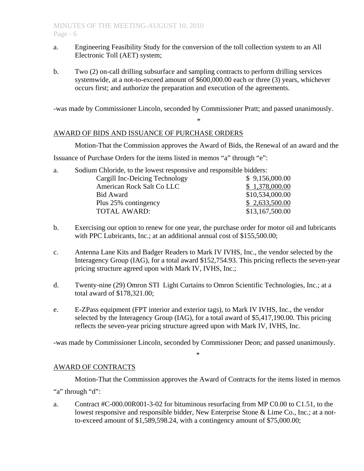- a. Engineering Feasibility Study for the conversion of the toll collection system to an All Electronic Toll (AET) system;
- b. Two (2) on-call drilling subsurface and sampling contracts to perform drilling services systemwide, at a not-to-exceed amount of \$600,000.00 each or three (3) years, whichever occurs first; and authorize the preparation and execution of the agreements.

-was made by Commissioner Lincoln, seconded by Commissioner Pratt; and passed unanimously.

\*

## AWARD OF BIDS AND ISSUANCE OF PURCHASE ORDERS

Motion-That the Commission approves the Award of Bids, the Renewal of an award and the Issuance of Purchase Orders for the items listed in memos "a" through "e":

| a. | Sodium Chloride, to the lowest responsive and responsible bidders: |                 |
|----|--------------------------------------------------------------------|-----------------|
|    | Cargill Inc-Deicing Technology                                     | \$9,156,000.00  |
|    | American Rock Salt Co LLC                                          | \$1,378,000.00  |
|    | <b>Bid Award</b>                                                   | \$10,534,000.00 |
|    | Plus 25% contingency                                               | \$2,633,500.00  |
|    | <b>TOTAL AWARD:</b>                                                | \$13,167,500.00 |

- b. Exercising our option to renew for one year, the purchase order for motor oil and lubricants with PPC Lubricants, Inc.; at an additional annual cost of \$155,500.00;
- c. Antenna Lane Kits and Badger Readers to Mark IV IVHS, Inc., the vendor selected by the Interagency Group (IAG), for a total award \$152,754.93. This pricing reflects the seven-year pricing structure agreed upon with Mark IV, IVHS, Inc.;
- d. Twenty-nine (29) Omron STI Light Curtains to Omron Scientific Technologies, Inc.; at a total award of \$178,321.00;
- e. E-ZPass equipment (FPT interior and exterior tags), to Mark IV IVHS, Inc., the vendor selected by the Interagency Group (IAG), for a total award of \$5,417,190.00. This pricing reflects the seven-year pricing structure agreed upon with Mark IV, IVHS, Inc.

-was made by Commissioner Lincoln, seconded by Commissioner Deon; and passed unanimously.

\*

# AWARD OF CONTRACTS

 Motion-That the Commission approves the Award of Contracts for the items listed in memos "a" through "d":

a. Contract #C-000.00R001-3-02 for bituminous resurfacing from MP C0.00 to C1.51, to the lowest responsive and responsible bidder, New Enterprise Stone & Lime Co., Inc.; at a notto-exceed amount of \$1,589,598.24, with a contingency amount of \$75,000.00;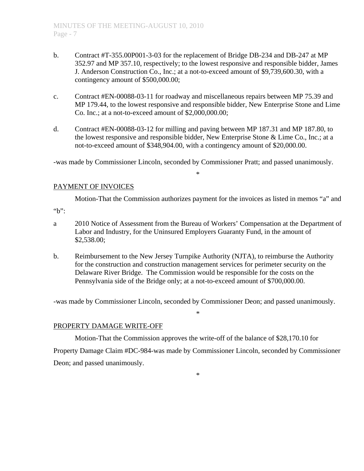- b. Contract #T-355.00P001-3-03 for the replacement of Bridge DB-234 and DB-247 at MP 352.97 and MP 357.10, respectively; to the lowest responsive and responsible bidder, James J. Anderson Construction Co., Inc.; at a not-to-exceed amount of \$9,739,600.30, with a contingency amount of \$500,000.00;
- c. Contract #EN-00088-03-11 for roadway and miscellaneous repairs between MP 75.39 and MP 179.44, to the lowest responsive and responsible bidder, New Enterprise Stone and Lime Co. Inc.; at a not-to-exceed amount of \$2,000,000.00;
- d. Contract #EN-00088-03-12 for milling and paving between MP 187.31 and MP 187.80, to the lowest responsive and responsible bidder, New Enterprise Stone & Lime Co., Inc.; at a not-to-exceed amount of \$348,904.00, with a contingency amount of \$20,000.00.

-was made by Commissioner Lincoln, seconded by Commissioner Pratt; and passed unanimously.

#### \*

# PAYMENT OF INVOICES

Motion-That the Commission authorizes payment for the invoices as listed in memos "a" and

"b":

- a 2010 Notice of Assessment from the Bureau of Workers' Compensation at the Department of Labor and Industry, for the Uninsured Employers Guaranty Fund, in the amount of \$2,538.00;
- b. Reimbursement to the New Jersey Turnpike Authority (NJTA), to reimburse the Authority for the construction and construction management services for perimeter security on the Delaware River Bridge. The Commission would be responsible for the costs on the Pennsylvania side of the Bridge only; at a not-to-exceed amount of \$700,000.00.

-was made by Commissioner Lincoln, seconded by Commissioner Deon; and passed unanimously.

\*

# PROPERTY DAMAGE WRITE-OFF

 Motion-That the Commission approves the write-off of the balance of \$28,170.10 for Property Damage Claim #DC-984-was made by Commissioner Lincoln, seconded by Commissioner Deon; and passed unanimously.

\*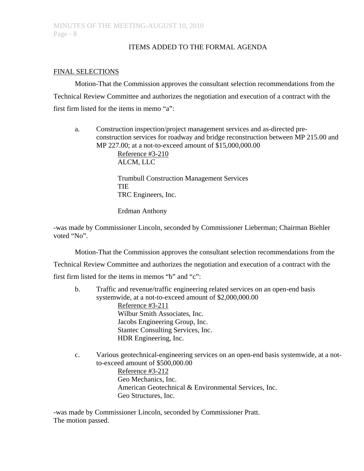# ITEMS ADDED TO THE FORMAL AGENDA

# FINAL SELECTIONS

Motion-That the Commission approves the consultant selection recommendations from the Technical Review Committee and authorizes the negotiation and execution of a contract with the first firm listed for the items in memo "a":

a. Construction inspection/project management services and as-directed preconstruction services for roadway and bridge reconstruction between MP 215.00 and MP 227.00; at a not-to-exceed amount of \$15,000,000.00 Reference #3-210

ALCM, LLC

Trumbull Construction Management Services TIE TRC Engineers, Inc.

Erdman Anthony

-was made by Commissioner Lincoln, seconded by Commissioner Lieberman; Chairman Biehler voted "No".

Motion-That the Commission approves the consultant selection recommendations from the Technical Review Committee and authorizes the negotiation and execution of a contract with the first firm listed for the items in memos "b" and "c":

b. Traffic and revenue/traffic engineering related services on an open-end basis systemwide, at a not-to-exceed amount of \$2,000,000.00 Reference #3-211

 Wilbur Smith Associates, Inc. Jacobs Engineering Group, Inc. Stantec Consulting Services, Inc. HDR Engineering, Inc.

c. Various geotechnical-engineering services on an open-end basis systemwide, at a notto-exceed amount of \$500,000.00 Reference #3-212 Geo Mechanics, Inc. American Geotechnical & Environmental Services, Inc. Geo Structures, Inc.

-was made by Commissioner Lincoln, seconded by Commissioner Pratt. The motion passed.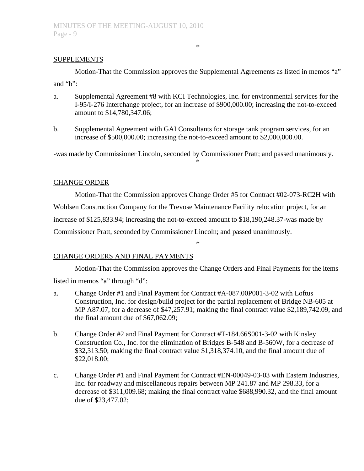### **SUPPLEMENTS**

 Motion-That the Commission approves the Supplemental Agreements as listed in memos "a" and "b":

\*

- a. Supplemental Agreement #8 with KCI Technologies, Inc. for environmental services for the I-95/I-276 Interchange project, for an increase of \$900,000.00; increasing the not-to-exceed amount to \$14,780,347.06;
- b. Supplemental Agreement with GAI Consultants for storage tank program services, for an increase of \$500,000.00; increasing the not-to-exceed amount to \$2,000,000.00.

-was made by Commissioner Lincoln, seconded by Commissioner Pratt; and passed unanimously.

\*

### CHANGE ORDER

Motion-That the Commission approves Change Order #5 for Contract #02-073-RC2H with Wohlsen Construction Company for the Trevose Maintenance Facility relocation project, for an increase of \$125,833.94; increasing the not-to-exceed amount to \$18,190,248.37-was made by Commissioner Pratt, seconded by Commissioner Lincoln; and passed unanimously.

## CHANGE ORDERS AND FINAL PAYMENTS

 Motion-That the Commission approves the Change Orders and Final Payments for the items listed in memos "a" through "d":

\*

- a. Change Order #1 and Final Payment for Contract #A-087.00P001-3-02 with Loftus Construction, Inc. for design/build project for the partial replacement of Bridge NB-605 at MP A87.07, for a decrease of \$47,257.91; making the final contract value \$2,189,742.09, and the final amount due of \$67,062.09;
- b. Change Order #2 and Final Payment for Contract #T-184.66S001-3-02 with Kinsley Construction Co., Inc. for the elimination of Bridges B-548 and B-560W, for a decrease of \$32,313.50; making the final contract value \$1,318,374.10, and the final amount due of \$22,018.00;
- c. Change Order #1 and Final Payment for Contract #EN-00049-03-03 with Eastern Industries, Inc. for roadway and miscellaneous repairs between MP 241.87 and MP 298.33, for a decrease of \$311,009.68; making the final contract value \$688,990.32, and the final amount due of \$23,477.02;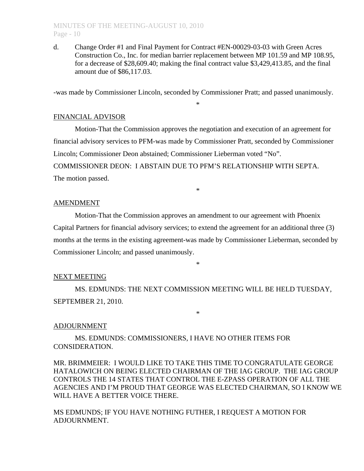## MINUTES OF THE MEETING-AUGUST 10, 2010 Page - 10

d. Change Order #1 and Final Payment for Contract #EN-00029-03-03 with Green Acres Construction Co., Inc. for median barrier replacement between MP 101.59 and MP 108.95, for a decrease of \$28,609.40; making the final contract value \$3,429,413.85, and the final amount due of \$86,117.03.

-was made by Commissioner Lincoln, seconded by Commissioner Pratt; and passed unanimously.

\*

## FINANCIAL ADVISOR

 Motion-That the Commission approves the negotiation and execution of an agreement for financial advisory services to PFM-was made by Commissioner Pratt, seconded by Commissioner Lincoln; Commissioner Deon abstained; Commissioner Lieberman voted "No". COMMISSIONER DEON: I ABSTAIN DUE TO PFM'S RELATIONSHIP WITH SEPTA.

The motion passed.

## AMENDMENT

Motion-That the Commission approves an amendment to our agreement with Phoenix Capital Partners for financial advisory services; to extend the agreement for an additional three (3) months at the terms in the existing agreement-was made by Commissioner Lieberman, seconded by Commissioner Lincoln; and passed unanimously.

\*

\*

# NEXT MEETING

 MS. EDMUNDS: THE NEXT COMMISSION MEETING WILL BE HELD TUESDAY, SEPTEMBER 21, 2010.

\*

## ADJOURNMENT

 MS. EDMUNDS: COMMISSIONERS, I HAVE NO OTHER ITEMS FOR CONSIDERATION.

MR. BRIMMEIER: I WOULD LIKE TO TAKE THIS TIME TO CONGRATULATE GEORGE HATALOWICH ON BEING ELECTED CHAIRMAN OF THE IAG GROUP. THE IAG GROUP CONTROLS THE 14 STATES THAT CONTROL THE E-ZPASS OPERATION OF ALL THE AGENCIES AND I'M PROUD THAT GEORGE WAS ELECTED CHAIRMAN, SO I KNOW WE WILL HAVE A BETTER VOICE THERE.

MS EDMUNDS; IF YOU HAVE NOTHING FUTHER, I REQUEST A MOTION FOR ADJOURNMENT.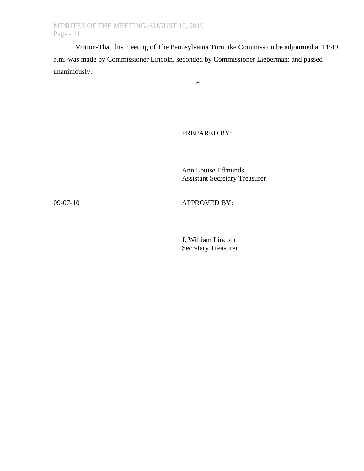Motion-That this meeting of The Pennsylvania Turnpike Commission be adjourned at 11:49 a.m.-was made by Commissioner Lincoln, seconded by Commissioner Lieberman; and passed unanimously.

\*

PREPARED BY:

 Ann Louise Edmunds Assistant Secretary Treasurer

09-07-10 APPROVED BY:

 J. William Lincoln Secretary Treasurer